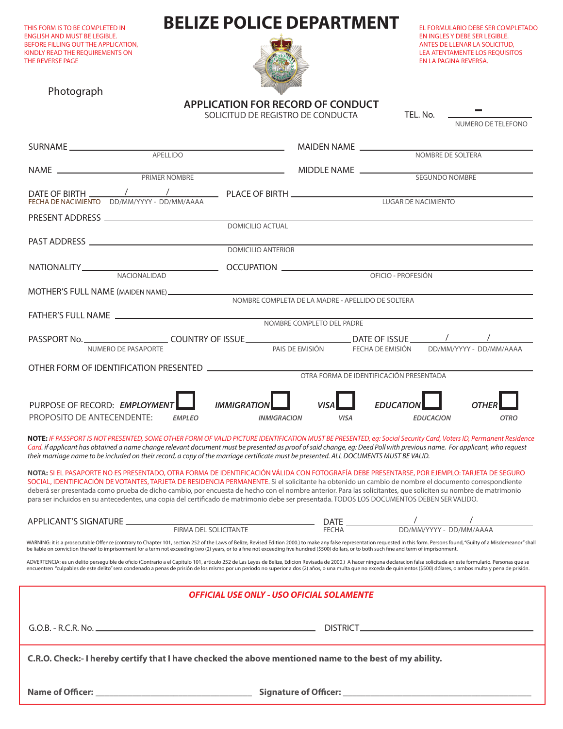THIS FORM IS TO BE COMPLETED IN ENGLISH AND MUST BE LEGIBLE. BEFORE FILLING OUT THE APPLICATION, KINDLY READ THE REQUIREMENTS ON THE REVERSE PAGE

# **BELIZE POLICE DEPARTMENT**



EL FORMULARIO DEBE SER COMPLETADO EN INGLES Y DEBE SER LEGIBLE. ANTES DE LLENAR LA SOLICITUD, LEA ATENTAMENTE LOS REQUISITOS EN LA PAGINA REVERSA.

NUMERO DE TELEFONO

TEL. No.

Photograph

**APPLICATION FOR RECORD OF CONDUCT** SOLICITUD DE REGISTRO DE CONDUCTA

|                                                                                                                  | MIDDLE NAME<br>SEGUNDO NOMBRE                                             |  |  |
|------------------------------------------------------------------------------------------------------------------|---------------------------------------------------------------------------|--|--|
| FECHA DE NACIMIENTO DD/MM/YYYY - DD/MM/AAAA                                                                      | LUGAR DE NACIMIENTO                                                       |  |  |
| <b>DOMICILIO ACTUAL</b>                                                                                          |                                                                           |  |  |
| <b>DOMICILIO ANTERIOR</b>                                                                                        |                                                                           |  |  |
|                                                                                                                  |                                                                           |  |  |
|                                                                                                                  |                                                                           |  |  |
| NOMBRE COMPLETO DEL PADRE                                                                                        |                                                                           |  |  |
| NUMERO DE PASAPORTE                                                                                              | PAIS DE EMISIÓN FECHA DE EMISIÓN DD/MM/YYYY - DD/MM/AAAA                  |  |  |
|                                                                                                                  | OTRA FORMA DE IDENTIFICACIÓN PRESENTADA                                   |  |  |
| PURPOSE OF RECORD: EMPLOYMENT<br><b>IMMIGRATIO</b><br>PROPOSITO DE ANTECENDENTE:<br><b>EMPLEO</b><br>INMIGRACION | <b>EDUCATIO</b><br><b>VISA</b><br><b>VISA</b><br>EDUCACION<br><b>OTRO</b> |  |  |

**NOTE:** *IF PASSPORT IS NOT PRESENTED, SOME OTHER FORM OF VALID PICTURE IDENTIFICATION MUST BE PRESENTED, eg: Social Security Card, Voters ID, Permanent Residence Card. if applicant has obtained a name change relevant document must be presented as proof of said change, eg: Deed Poll with previous name. For applicant, who request their marriage name to be included on their record, a copy of the marriage certicate must be presented. ALL DOCUMENTS MUST BE VALID.*

**NOTA:** SI EL PASAPORTE NO ES PRESENTADO, OTRA FORMA DE IDENTIFICACIÓN VÁLIDA CON FOTOGRAFÍA DEBE PRESENTARSE, POR EJEMPLO: TARJETA DE SEGURO SOCIAL, IDENTIFICACIÓN DE VOTANTES, TARJETA DE RESIDENCIA PERMANENTE. Si el solicitante ha obtenido un cambio de nombre el documento correspondiente deberá ser presentada como prueba de dicho cambio, por encuesta de hecho con el nombre anterior. Para las solicitantes, que soliciten su nombre de matrimonio para ser incluidos en su antecedentes, una copia del certificado de matrimonio debe ser presentada. TODOS LOS DOCUMENTOS DEBEN SER VALIDO.

| APPLICANT'S SIGNATURE |                                      | <b>DATE</b>  |                           |  |
|-----------------------|--------------------------------------|--------------|---------------------------|--|
|                       | . SOLICITANTE<br><b>FIRMA</b><br>DE. | <b>FECHA</b> | DD/MM/YYYY-<br>DD/MM/AAAA |  |

WARNING: it is a prosecutable Offence (contrary to Chapter 101, section 252 of the Laws of Belize, Revised Edition 2000.) to make any false representation requested in this form. Persons found, "Guilty of a Misdemeanor" sh be liable on conviction thereof to imprisonment for a term not exceeding two (2) years, or to a fine not exceeding five hundred (\$500) dollars, or to both such fine and term of imprisonment.

ADVERTENCIA: es un delito perseguible de oficio (Contrario a el Capitulo 101, articulo 252 de Las Leyes de Belize, Edicion Revisada de 2000.) A hacer ninguna declaracion falsa solicitada en este formulario. Personas que se encuentren "culpables de este delito" sera condenado a penas de prisión de los mismo por un periodo no superior a dos (2) años, o una multa que no exceda de quinientos (\$500) dólares, o ambos multa y pena de prisión.

| <b>OFFICIAL USE ONLY - USO OFICIAL SOLAMENTE</b>                                                        |  |  |
|---------------------------------------------------------------------------------------------------------|--|--|
|                                                                                                         |  |  |
| C.R.O. Check:- I hereby certify that I have checked the above mentioned name to the best of my ability. |  |  |
|                                                                                                         |  |  |